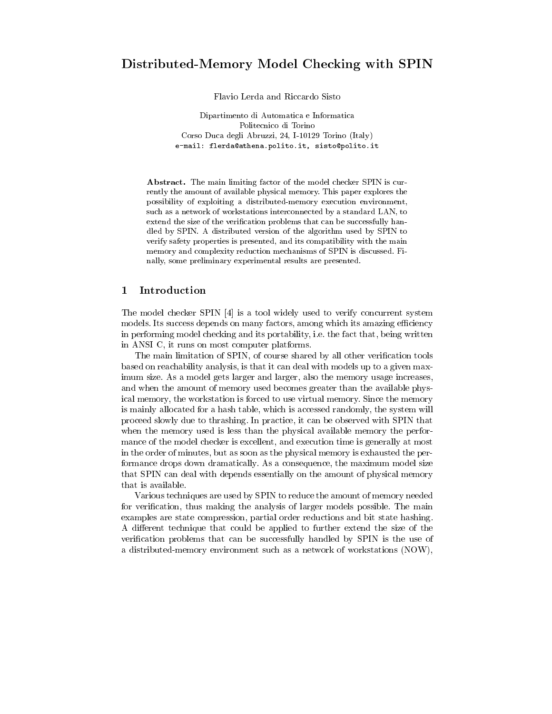# Distributed-Memory Model Checking with SPIN

Flavio Lerda and Riccardo Sisto

Dipartimento di Automatica e Informatica Politecnico di Torino Corso Duca degli Abruzzi, 24, I-10129 Torino (Italy) e-mail: flerda@athena.polito.it, sisto@polito.it

Abstract. The main limiting factor of the model checker SPIN is cur rently the amount of available physical memory. This paper explores the possibility of exploiting a distributed-memory execution environment, such as a network of workstations interconnected by a standard LAN, to extend the size of the verification problems that can be successfully handled by SPIN. A distributed version of the algorithm used by SPIN to verify safety properties is presented, and its compatibility with the main memory and complexity reduction mechanisms of SPIN is discussed. Finally, some preliminary experimental results are presented.

## 1 Introduction

The model checker SPIN [4] is a tool widely used to verify concurrent system models. Its success depends on many factors, among which its amazing efficiency in performing model checking and its portability, i.e. the fact that, being written in ANSI C, it runs on most computer platforms.

The main limitation of SPIN, of course shared by all other verification tools based on reachability analysis, is that it can deal with models up to a given maximum size. As a model gets larger and larger, also the memory usage increases, and when the amount of memory used becomes greater than the available physical memory, the workstation is forced to use virtual memory. Since the memory is mainly allocated for a hash table, which is accessed randomly, the system will proceed slowly due to thrashing. In practice, it can be observed with SPIN that when the memory used is less than the physical available memory the performance of the model checker is excellent, and execution time is generally at most in the order of minutes, but as soon as the physical memory is exhausted the performance drops down dramatically. As a consequence, the maximum model size that SPIN can deal with depends essentially on the amount of physical memory that is available.

Various techniques are used by SPIN to reduce the amount of memory needed for verification, thus making the analysis of larger models possible. The main examples are state compression, partial order reductions and bit state hashing. A different technique that could be applied to further extend the size of the verification problems that can be successfully handled by SPIN is the use of a distributed-memory environment such as a network of workstations (NOW),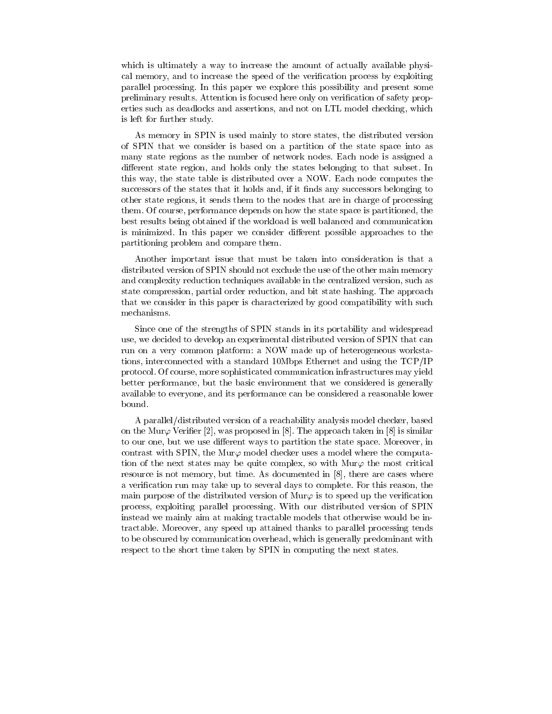which is ultimately a way to increase the amount of actually available physical memory, and to increase the speed of the verication process by exploiting parallel processing. In this paper we explore this possibility and present some preliminary results. Attention is focused here only on verication of safety properties such as deadlocks and assertions, and not on LTL model checking, which is left for further study.

As memory in SPIN is used mainly to store states, the distributed version of SPIN that we consider is based on a partition of the state space into as many state regions as the number of network nodes. Each node is assigned a different state region, and holds only the states belonging to that subset. In this way, the state table is distributed over a NOW. Each node computes the successors of the states that it holds and, if it finds any successors belonging to other state regions, it sends them to the nodes that are in charge of processing them. Of course, performance depends on how the state space is partitioned, the best results being obtained if the workload is well balanced and communication is minimized. In this paper we consider different possible approaches to the partitioning problem and compare them.

Another important issue that must be taken into consideration is that a distributed version of SPIN should not exclude the use of the other main memory and complexity reduction techniques available in the centralized version, such as state compression, partial order reduction, and bit state hashing. The approach that we consider in this paper is characterized by good compatibility with such mechanisms.

Since one of the strengths of SPIN stands in its portability and widespread use, we decided to develop an experimental distributed version of SPIN that can run on a very common platform: a NOW made up of heterogeneous workstations, interconnected with a standard 10Mbps Ethernet and using the TCP/IP protocol. Of course, more sophisticated communication infrastructures may yield better performance, but the basic environment that we considered is generally available to everyone, and its performance can be considered a reasonable lower bound.

A parallel/distributed version of a reachability analysis model checker, based on the Mur $\varphi$  Verifier [2], was proposed in [8]. The approach taken in [8] is similar to our one, but we use different ways to partition the state space. Moreover, in contrast with SPIN, the Mur $\varphi$  model checker uses a model where the computation of the next states may be quite complex, so with  $\text{Mur}\varphi$  the most critical resource is not memory, but time. As documented in [8], there are cases where a verication run may take up to several days to complete. For this reason, the main purpose of the distributed version of Mur $\varphi$  is to speed up the verification process, exploiting parallel processing. With our distributed version of SPIN instead we mainly aim at making tractable models that otherwise would be intractable. Moreover, any speed up attained thanks to parallel processing tends to be obscured by communication overhead, which is generally predominant with respect to the short time taken by SPIN in computing the next states.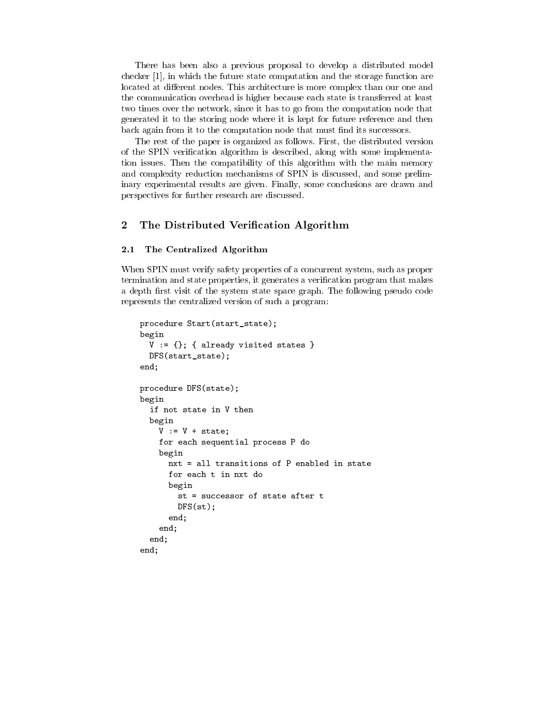There has been also a previous proposal to develop a distributed model checker [1], in which the future state computation and the storage function are located at different nodes. This architecture is more complex than our one and the communication overhead is higher because each state is transferred at least two times over the network, since it has to go from the computation node that generated it to the storing node where it is kept for future reference and then back again from it to the computation node that must find its successors.

The rest of the paper is organized as follows. First, the distributed version of the SPIN verication algorithm is described, along with some implementation issues. Then the compatibility of this algorithm with the main memory and complexity reduction mechanisms of SPIN is discussed, and some preliminary experimental results are given. Finally, some conclusions are drawn and perspectives for further research are discussed.

#### $\overline{2}$ The Distributed Verification Algorithm

#### 2.1 The Centralized Algorithm

When SPIN must verify safety properties of a concurrent system, such as proper termination and state properties, it generates a verication program that makes a depth first visit of the system state space graph. The following pseudo code represents the centralized version of such a program:

```
procedure Start(start_state);
beginV := {}; { already visited states }
 DFS(start_state);end;procedure DFS(state);
beginbeginV := V + state;
   for each sequential process P do
   beginnnt = all transitions of Phasebox in state in state
     for each t in nxt do
    beginst = states is state after t
      DFS(st);end;end;end;end;
```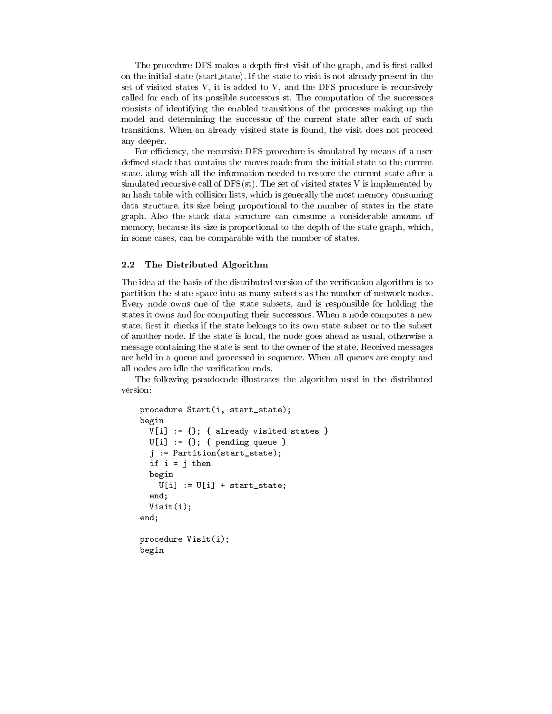The procedure DFS makes a depth first visit of the graph, and is first called on the initial state (start state). If the state to visit is not already present in the set of visited states V, it is added to V, and the DFS procedure is recursively called for each of its possible successors st. The computation of the successors consists of identifying the enabled transitions of the processes making up the model and determining the successor of the current state after each of such transitions. When an already visited state is found, the visit does not proceed any deeper.

For efficiency, the recursive DFS procedure is simulated by means of a user defined stack that contains the moves made from the initial state to the current state, along with all the information needed to restore the current state after a simulated recursive call of DFS(st). The set of visited states V is implemented by an hash table with collision lists, which is generally the most memory consuming data structure, its size being proportional to the number of states in the state graph. Also the stack data structure can consume a considerable amount of memory, because its size is proportional to the depth of the state graph, which, in some cases, can be comparable with the number of states.

## 2.2 The Distributed Algorithm

The idea at the basis of the distributed version of the verification algorithm is to partition the state space into as many subsets as the number of network nodes. Every node owns one of the state subsets, and is responsible for holding the states it owns and for computing their successors. When a node computes a new state, first it checks if the state belongs to its own state subset or to the subset of another node. If the state is local, the node goes ahead as usual, otherwise a message containing the state is sent to the owner of the state. Received messages are held in a queue and processed in sequence. When all queues are empty and all nodes are idle the verication ends.

The following pseudocode illustrates the algorithm used in the distributed version:

```
procedure Start(i, start_state);
beginvisited states and visited states and states \simU[i] := {}; { pending queue }
  j := Partition(start_state);
  if it is the second then the second the second term in the second term in the second term in the second term i
  beginU[i] := U[i] statestate;
  end;Visit(i);end;procedure Visit(i);
begin
```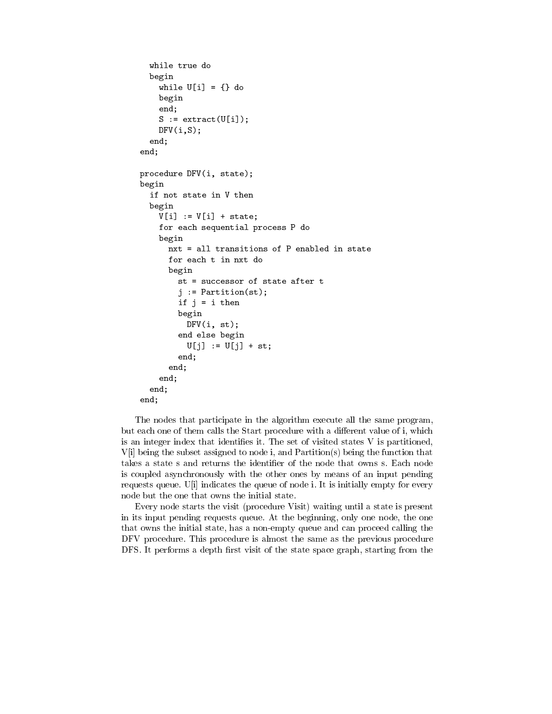```
beginwhile Up to 2008 and 2008 and 2008 and 2008 and 2008 and 2008 and 2008 and 2008 and 2008 and 2008 and 2008 and
       beginend;S := extract(U[i]);
       DFV(i, S);
    end;end;procedure DFV(i, state);
beginif a state in \sim states in the value in \simbeginview van die vollede van die verwys van die vollede van die vollede van die vollede van die van die van die vo
        for each sequential process P do
       beginbeginj := Partition(st);
                \blacksquare in the second then \blacksquarebeginDFV(i, st);
                end else begin
                    Up in the Up in the United States of the United States of the United States and Industrial Contracts and Industrial Contracts and Industrial Contracts and Industrial Contracts and Industrial Contracts and Industrial Contra
               end;end;end;end;end;
```
The nodes that participate in the algorithm execute all the same program, but each one of them calls the Start procedure with a different value of i, which is an integer index that identifies it. The set of visited states V is partitioned, V[i] being the subset assigned to node i, and Partition(s) being the function that takes a state s and returns the identier of the node that owns s. Each node is coupled asynchronously with the other ones by means of an input pending requests queue. U[i] indicates the queue of node i. It is initially empty for every node but the one that owns the initial state.

Every node starts the visit (procedure Visit) waiting until a state is present in its input pending requests queue. At the beginning, only one node, the one that owns the initial state, has a non-empty queue and can proceed calling the DFV procedure. This procedure is almost the same as the previous procedure DFS. It performs a depth first visit of the state space graph, starting from the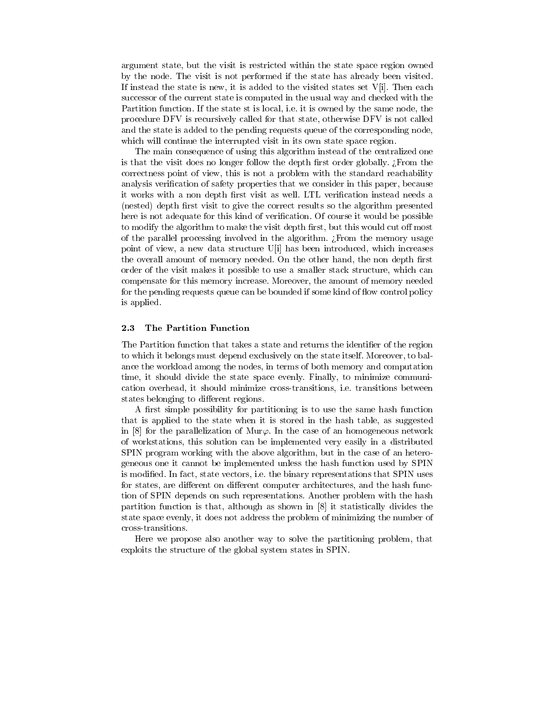argument state, but the visit is restricted within the state space region owned by the node. The visit is not performed if the state has already been visited. If instead the state is new, it is added to the visited states set  $V[i]$ . Then each successor of the current state is computed in the usual way and checked with the Partition function. If the state st is local, i.e. it is owned by the same node, the procedure DFV is recursively called for that state, otherwise DFV is not called and the state is added to the pending requests queue of the corresponding node, which will continue the interrupted visit in its own state space region.

The main consequence of using this algorithm instead of the centralized one is that the visit does no longer follow the depth first order globally.  $i$  From the correctness point of view, this is not a problem with the standard reachability analysis verication of safety properties that we consider in this paper, because it works with a non depth first visit as well. LTL verification instead needs a (nested) depth first visit to give the correct results so the algorithm presented here is not adequate for this kind of verification. Of course it would be possible to modify the algorithm to make the visit depth first, but this would cut off most of the parallel processing involved in the algorithm.  $i$ From the memory usage point of view, a new data structure U[i] has been introduced, which increases the overall amount of memory needed. On the other hand, the non depth first order of the visit makes it possible to use a smaller stack structure, which can compensate for this memory increase. Moreover, the amount of memory needed for the pending requests queue can be bounded if some kind of flow control policy is applied.

## 2.3 The Partition Function

The Partition function that takes a state and returns the identifier of the region to which it belongs must depend exclusively on the state itself. Moreover, to balance the workload among the nodes, in terms of both memory and computation time, it should divide the state space evenly. Finally, to minimize communication overhead, it should minimize cross-transitions, i.e. transitions between states belonging to different regions.

A first simple possibility for partitioning is to use the same hash function that is applied to the state when it is stored in the hash table, as suggested in  $[8]$  for the parallelization of Mur $\varphi$ . In the case of an homogeneous network of workstations, this solution can be implemented very easily in a distributed SPIN program working with the above algorithm, but in the case of an heterogeneous one it cannot be implemented unless the hash function used by SPIN is modied. In fact, state vectors, i.e. the binary representations that SPIN uses for states, are different on different computer architectures, and the hash function of SPIN depends on such representations. Another problem with the hash partition function isthat, although as shown in [8] it statistically divides the state space evenly, it does not address the problem of minimizing the number of cross-transitions.

Here we propose also another way to solve the partitioning problem, that exploits the structure of the global system states in SPIN.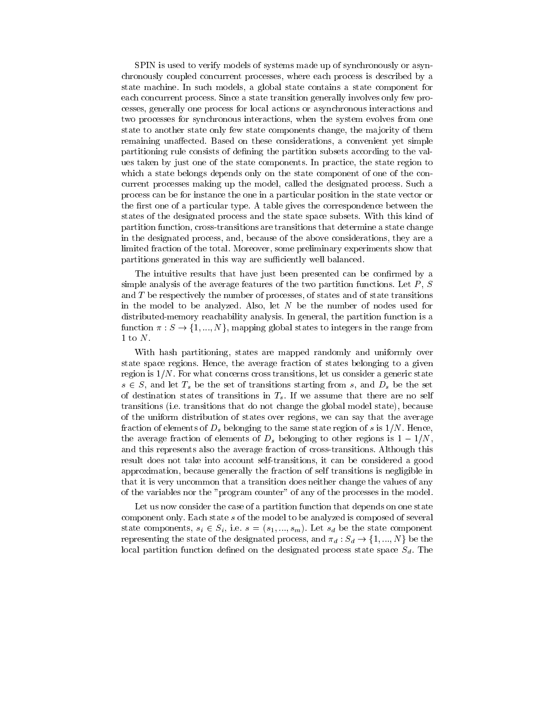SPIN is used to verify models of systems made up of synchronously or asynchronously coupled concurrent processes, where each process is described by a state machine. In such models, a global state contains a state component for each concurrent process. Since a state transition generally involves only few processes, generally one process for local actions or asynchronous interactions and two processes for synchronous interactions, when the system evolves from one state to another state only few state components change, the ma jority of them remaining unaffected. Based on these considerations, a convenient yet simple partitioning rule consists of defining the partition subsets according to the values taken by just one of the state components. In practice, the state region to which a state belongs depends only on the state component of one of the concurrent processes making up the model, called the designated process. Such a process can be for instance the one in a particular position in the state vector or the first one of a particular type. A table gives the correspondence between the states of the designated process and the state space subsets. With this kind of partition function, cross-transitions are transitions that determine a state change in the designated process, and, because of the above considerations, they are a limited fraction of the total. Moreover, some preliminary experiments show that partitions generated in this way are sufficiently well balanced.

The intuitive results that have just been presented can be confirmed by a simple analysis of the average features of the two partition functions. Let  $P, S$ and  $T$  be respectively the number of processes, of states and of state transitions in the model to be analyzed. Also, let  $N$  be the number of nodes used for distributed-memory reachability analysis. In general, the partition function is a function  $\pi : S \to \{1, ..., N\}$ , mapping global states to integers in the range from 1 to  $N$ .

With hash partitioning, states are mapped randomly and uniformly over state space regions. Hence, the average fraction of states belonging to a given region is  $1/N$ . For what concerns cross transitions, let us consider a generic state  $s \in S$ , and let  $T_s$  be the set of transitions starting from s, and  $D_s$  be the set of destination states of transitions in  $T_s$ . If we assume that there are no self transitions (i.e. transitions that do not change the global model state), because of the uniform distribution of states over regions, we can say that the average fraction of elements of  $D_s$  belonging to the same state region of s is  $1/N$ . Hence, the average fraction of elements of  $D_s$  belonging to other regions is  $1-1/N$ . and this represents also the average fraction of cross-transitions. Although this result does not take into account self-transitions, it can be considered a good approximation, because generally the fraction of self transitions is negligible in that it is very uncommon that a transition does neither change the values of any of the variables nor the "program counter" of any of the processes in the model.

Let us now consider the case of a partition function that depends on one state component only. Each state <sup>s</sup> of the model to be analyzed is composed of several state components,  $s_i \in S_i$ , i.e.  $s = (s_1, ..., s_m)$ . Let  $s_d$  be the state component representing the state of the designated process, and  $\pi_d : S_d \to \{1, ..., N\}$  be the local partition function defined on the designated process state space  $S_d$ . The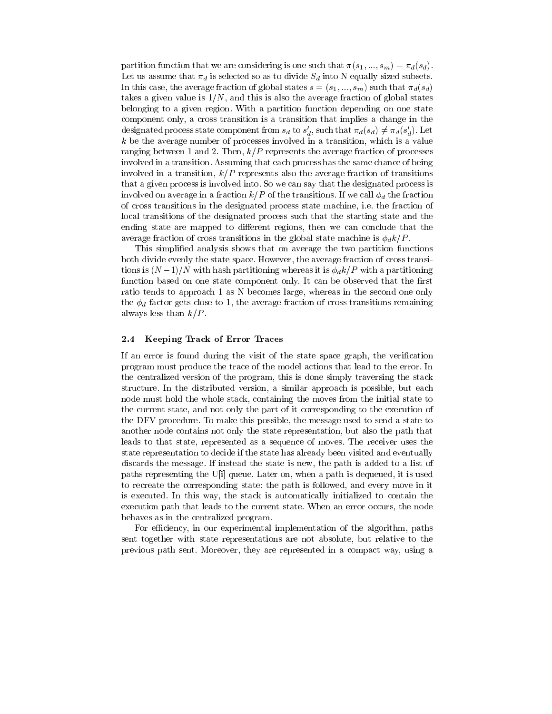partition function that we are considering is one such that  $\pi(s_1, ..., s_m) = \pi_d(s_d)$ . Let us assume that  $\pi_d$  is selected so as to divide  $S_d$  into N equally sized subsets. In this case, the average fraction of global states  $s = (s_1, ..., s_m)$  such that  $\pi_d(s_d)$ takes a given value is  $1/N$ , and this is also the average fraction of global states belonging to a given region. With a partition function depending on one state component only, a cross transition is a transition that implies a change in the designated process state component from  $s_d$  to  $s_d'$ , such that  $\pi_d(s_d) \neq \pi_d(s_d')$ . Let k be the average number of processes involved in a transition, which is a value ranging between 1 and 2. Then,  $k/P$  represents the average fraction of processes involved in a transition. Assuming that each process has the same chance of being involved in a transition,  $k/P$  represents also the average fraction of transitions that a given process is involved into. So we can say that the designated process is involved on average in a fraction  $k/P$  of the transitions. If we call  $\phi_d$  the fraction of cross transitions in the designated process state machine, i.e. the fraction of local transitions of the designated process such that the starting state and the ending state are mapped to different regions, then we can conclude that the average fraction of cross transitions in the global state machine is  $\phi_d k/P$ .

This simplied analysis shows that on average the two partition functions both divide evenly the state space. However, the average fraction of cross transitions is  $(N-1)/N$  with hash partitioning whereas it is  $\phi_d k/P$  with a partitioning function based on one state component only. It can be observed that the first ratio tends to approach 1 as N becomes large, whereas in the second one only the  $\phi_d$  factor gets close to 1, the average fraction of cross transitions remaining always less than  $k/P$ .

### 2.4 Keeping Track of Error Traces

If an error is found during the visit of the state space graph, the verification program must produce the trace of the model actions that lead to the error. In the centralized version of the program, this is done simply traversing the stack structure. In the distributed version, a similar approach is possible, but each node must hold the whole stack, containing the moves from the initial state to the current state, and not only the part of it corresponding to the execution of the DFV procedure. To make this possible, the message used to send a state to another node contains not only the state representation, but also the path that leads to that state, represented as a sequence of moves. The receiver uses the state representation to decide if the state has already been visited and eventually discards the message. If instead the state is new, the path is added to a list of paths representing the U[i] queue. Later on, when a path is dequeued, it is used to recreate the corresponding state: the path is followed, and every move in it is executed. In this way, the stack is automatically initialized to contain the execution path that leads to the current state. When an error occurs, the node behaves as in the centralized program.

For efficiency, in our experimental implementation of the algorithm, paths sent together with state representations are not absolute, but relative to the previous path sent. Moreover, they are represented in a compact way, using a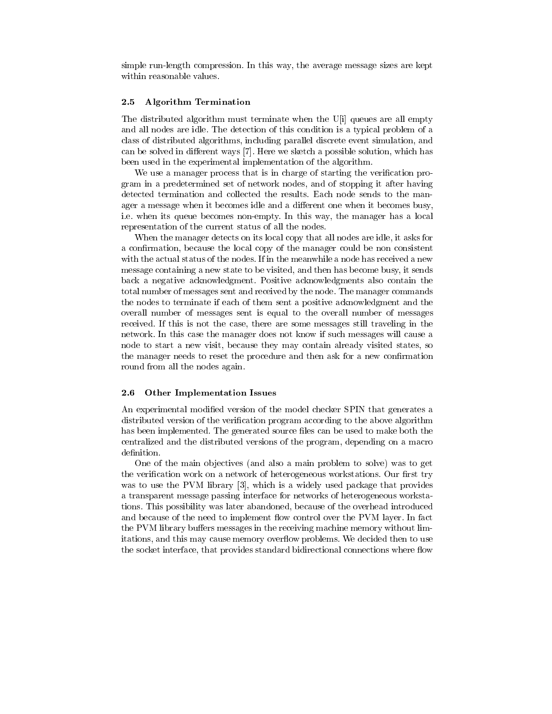simple run-length compression. In this way, the average message sizes are kept within reasonable values.

#### 2.5 Algorithm Termination

The distributed algorithm must terminate when the U[i] queues are all empty and all nodes are idle. The detection of this condition is a typical problem of a class of distributed algorithms, including parallel discrete event simulation, and can be solved in different ways [7]. Here we sketch a possible solution, which has been used in the experimental implementation of the algorithm.

We use a manager process that is in charge of starting the verification program in a predetermined set of network nodes, and of stopping it after having detected termination and collected the results. Each node sends to the manager a message when it becomes idle and a different one when it becomes busy, i.e. when its queue becomes non-empty. In this way, the manager has a local representation of the current status of all the nodes.

When the manager detects on its local copy that all nodes are idle, it asks for a confirmation, because the local copy of the manager could be non consistent with the actual status of the nodes. If in the meanwhile a node has received a new message containing a new state to be visited, and then has become busy, it sends back a negative acknowledgment. Positive acknowledgments also contain the total number of messages sent and received by the node. The manager commands the nodes to terminate if each of them sent a positive acknowledgment and the overall number of messages sent is equal to the overall number of messages received. If this is not the case, there are some messages still traveling in the network. In this case the manager does not know if such messages will cause a node to start a new visit, because they may contain already visited states, so the manager needs to reset the procedure and then ask for a new confirmation round from all the nodes again.

#### 2.6 Other Implementation Issues

An experimental modied version of the model checker SPIN that generates a distributed version of the verification program according to the above algorithm has been implemented. The generated source files can be used to make both the centralized and the distributed versions of the program, depending on a macro definition.

One of the main objectives (and also a main problem to solve) was to get the verification work on a network of heterogeneous workstations. Our first try was to use the PVM library [3], which is a widely used package that provides a transparent message passing interface for networks of heterogeneous workstations. This possibility was later abandoned, because of the overhead introduced and because of the need to implement flow control over the PVM layer. In fact the PVM library buffers messages in the receiving machine memory without limitations, and this may cause memory overflow problems. We decided then to use the socket interface, that provides standard bidirectional connections where flow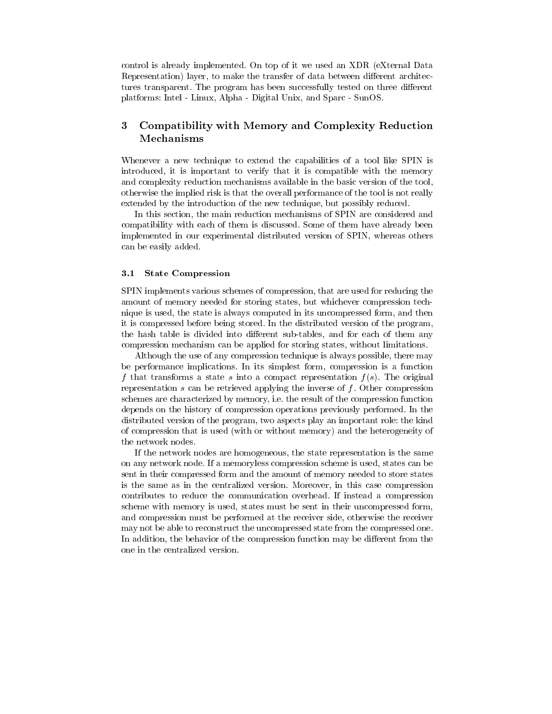control is already implemented. On top of it we used an XDR (eXternal Data Representation) layer, to make the transfer of data between different architectures transparent. The program has been successfully tested on three different platforms: Intel - Linux, Alpha - Digital Unix, and Sparc - SunOS.

#### 3 Compatibility with Memory and Complexity Reduction 3 Mechanisms

Whenever a new technique to extend the capabilities of a tool like SPIN is introduced, it is important to verify that it is compatible with the memory and complexity reduction mechanisms available in the basic version of the tool, otherwise the implied risk is that the overall performance of the tool is not really extended by the introduction of the new technique, but possibly reduced.

In this section, the main reduction mechanisms of SPIN are considered and compatibility with each of them is discussed. Some of them have already been implemented in our experimental distributed version of SPIN, whereas others can be easily added.

## 3.1 State Compression

SPIN implements various schemes of compression, that are used for reducing the amount of memory needed for storing states, but whichever compression technique is used, the state is always computed in its uncompressed form, and then it is compressed before being stored. In the distributed version of the program, the hash table is divided into different sub-tables, and for each of them any compression mechanism can be applied for storing states, without limitations.

Although the use of any compression technique is always possible, there may be performance implications. In its simplest form, compression is a function f that transforms a state <sup>s</sup> into a compact representation <sup>f</sup> (s).The original representation s can be retrieved applying the inverse of  $f$ . Other compression schemes are characterized by memory, i.e. the result of the compression function depends on the history of compression operations previously performed. In the distributed version of the program, two aspects play an important role: the kind of compression that is used (with or without memory) and the heterogeneity of the network nodes.

If the network nodes are homogeneous, the state representation is the same on any network node. If a memoryless compression scheme is used, states can be sent in their compressed form and the amount of memory needed to store states is the same as in the centralized version. Moreover, in this case compression contributes to reduce the communication overhead. If instead a compression scheme with memory is used, states must be sent in their uncompressed form, and compression must be performed at the receiver side, otherwise the receiver may not be able to reconstruct the uncompressed state from the compressed one. In addition, the behavior of the compression function may be different from the one in the centralized version.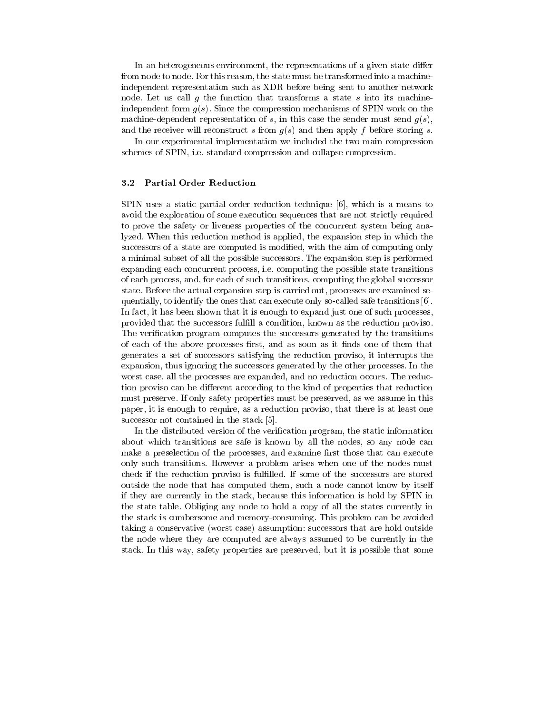In an heterogeneous environment, the representations of a given state differ from node to node. For this reason, the state must be transformed into a machineindependent representation such as XDR before being sent to another network node. Let us call  $g$  the function that transforms a state  $s$  into its machineindependent form  $g(s)$ . Since the compression mechanisms of SPIN work on the machine-dependent representation of s, in this case the sender must send  $g(s)$ , and the receiver will reconstruct s from  $g(s)$  and then apply f before storing s.

In our experimental implementation we included the two main compression schemes of SPIN, i.e. standard compression and collapse compression.

### 3.2 Partial Order Reduction

SPIN uses a static partial order reduction technique [6], which is a means to avoid the exploration of some execution sequences that are not strictly required to prove the safety or liveness properties of the concurrent system being analyzed. When this reduction method is applied, the expansion step in which the successors of a state are computed is modied, with the aim of computing only a minimal subset of all the possible successors. The expansion step is performed expanding each concurrent process, i.e. computing the possible state transitions of each process, and, for each of such transitions, computing the global successor state. Before the actual expansion step is carried out, processes are examined sequentially, to identify the ones that can execute only so-called safe transitions [6]. In fact, it has been shown that it is enough to expand just one of such processes, provided that the successors fulll a condition, known as the reduction proviso. The verification program computes the successors generated by the transitions of each of the above processes first, and as soon as it finds one of them that generates a set of successors satisfying the reduction proviso, it interrupts the expansion, thus ignoring the successors generated by the other processes. In the worst case, all the processes are expanded, and no reduction occurs. The reduction proviso can be different according to the kind of properties that reduction must preserve. If only safety properties must be preserved, as we assume in this paper, it is enough to require, as a reduction proviso, that there is at least one successor not contained in the stack [5].

In the distributed version of the verification program, the static information about which transitions are safe is known by all the nodes, so any node can make a preselection of the processes, and examine first those that can execute only such transitions. However a problem arises when one of the nodes must check if the reduction proviso is fullled. If some of the successors are stored outside the node that has computed them, such a node cannot know by itself if they are currently in the stack, because this information is hold by SPIN in the state table. Obliging any node to hold a copy of all the states currently in the stack is cumbersome and memory-consuming. This problem can be avoided taking a conservative (worst case) assumption: successors that are hold outside the node where they are computed are always assumed to be currently in the stack. In this way, safety properties are preserved, but it is possible that some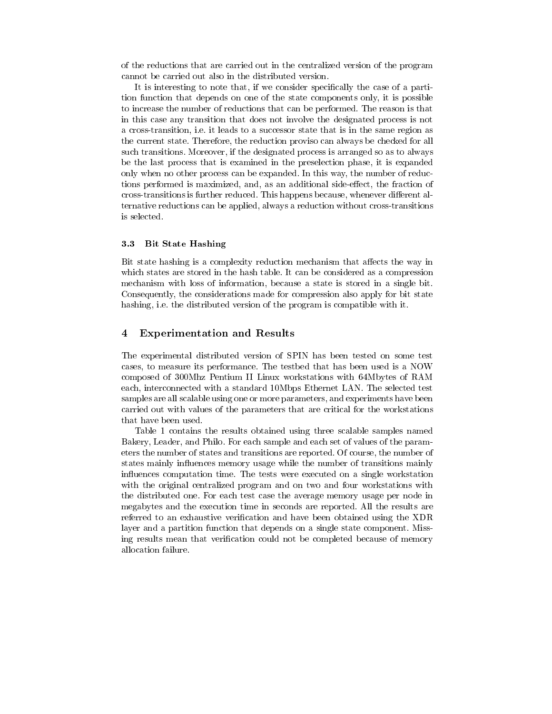of the reductions that are carried out in the centralized version of the program cannot be carried out also in the distributed version.

It is interesting to note that, if we consider specically the case of a partition function that depends on one of the state components only, it is possible to increase the number of reductions that can be performed. The reason is that in this case any transition that does not involve the designated process is not a cross-transition, i.e. it leads to a successor state that is in the same region as the current state. Therefore, the reduction proviso can always be checked for all such transitions. Moreover, if the designated process is arranged so as to always be the last process that is examined in the preselection phase, it is expanded only when no other process can be expanded. In this way, the number of reductions performed is maximized, and, as an additional side-effect, the fraction of cross-transitions is further reduced. This happens because, whenever different alternative reductions can be applied, always a reduction without cross-transitions is selected.

## 3.3 Bit State Hashing

Bit state hashing is a complexity reduction mechanism that affects the way in which states are stored in the hash table. It can be considered as a compression mechanism with loss of information, because a state is stored in a single bit. Consequently, the considerations made for compression also apply for bit state hashing, i.e. the distributed version of the program is compatible with it.

#### $\overline{\mathbf{4}}$ **Experimentation and Results**

The experimental distributed version of SPIN has been tested on some test cases, to measure its performance. The testbed that has been used is a NOW composed of 300Mhz Pentium II Linux workstations with 64Mbytes of RAM each, interconnected with a standard 10Mbps Ethernet LAN. The selected test samples are all scalable using one or more parameters, and experiments have been carried out with values of the parameters that are critical for the workstations that have been used.

Table 1 contains the results obtained using three scalable samples named Bakery, Leader, and Philo. For each sample and each set of values of the parameters the number of states and transitions are reported. Of course, the number of states mainly influences memory usage while the number of transitions mainly in
uences computation time. The tests were executed on a single workstation with the original centralized program and on two and four workstations with the distributed one. For each test case the average memory usage per node in megabytes and the execution time in seconds are reported. All the results are referred to an exhaustive verification and have been obtained using the XDR layer and a partition function that depends on a single state component. Missing results mean that verification could not be completed because of memory allocation failure.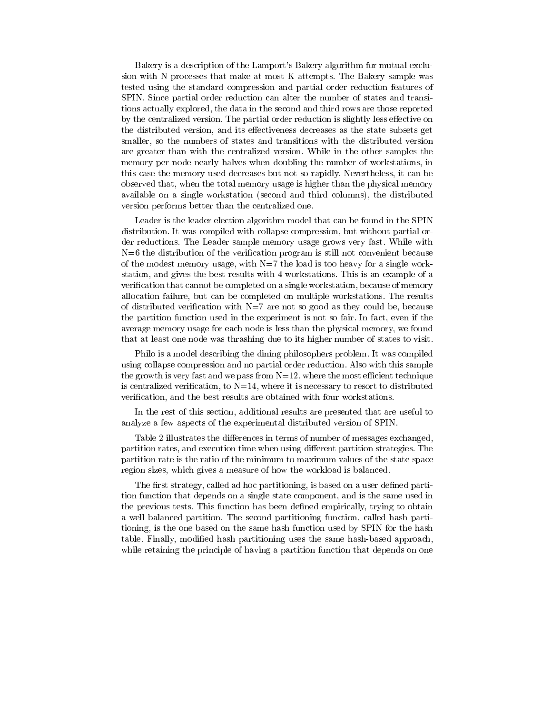Bakery is a description of the Lamport's Bakery algorithm for mutual exclusion with N processes that make at most K attempts. The Bakery sample was tested using the standard compression and partial order reduction features of SPIN. Since partial order reduction can alter the number of states and transitions actually explored, the data in the second and third rows are those reported by the centralized version. The partial order reduction is slightly less effective on the distributed version, and its effectiveness decreases as the state subsets get smaller, so the numbers of states and transitions with the distributed version are greater than with the centralized version. While in the other samples the memory per node nearly halves when doubling the number of workstations, in this case the memory used decreases but not so rapidly. Nevertheless, it can be observed that, when the total memory usage is higher than the physical memory available on a single workstation (second and third columns), the distributed version performs better than the centralized one.

Leader is the leader election algorithm model that can be found in the SPIN distribution. It was compiled with collapse compression, but without partial order reductions. The Leader sample memory usage grows very fast. While with N=6 the distribution of the verification program is still not convenient because of the modest memory usage, with  $N=7$  the load is too heavy for a single workstation, and gives the best results with 4 workstations. This is an example of a verification that cannot be completed on a single workstation, because of memory allocation failure, but can be completed on multiple workstations. The results of distributed verification with  $N=7$  are not so good as they could be, because the partition function used in the experiment is not so fair. In fact, even if the average memory usage for each node is less than the physical memory, we found that at least one node was thrashing due to its higher number of states to visit.

Philo is a model describing the dining philosophers problem. It was compiled using collapse compression and no partial order reduction. Also with this sample the growth is very fast and we pass from  $N=12$ , where the most efficient technique is centralized verification, to  $N=14$ , where it is necessary to resort to distributed verification, and the best results are obtained with four workstations.

In the rest of this section, additional results are presented that are useful to analyze a few aspects of the experimental distributed version of SPIN.

Table 2 illustrates the differences in terms of number of messages exchanged, partition rates, and execution time when using different partition strategies. The partition rate is the ratio of the minimum to maximum values of the state space region sizes, which gives a measure of how the workload is balanced.

The first strategy, called ad hoc partitioning, is based on a user defined partition function that depends on a single state component, and is the same used in the previous tests. This function has been defined empirically, trying to obtain a well balanced partition. The second partitioning function, called hash partitioning, is the one based on the same hash function used by SPIN for the hash table. Finally, modied hash partitioning uses the same hash-based approach, while retaining the principle of having a partition function that depends on one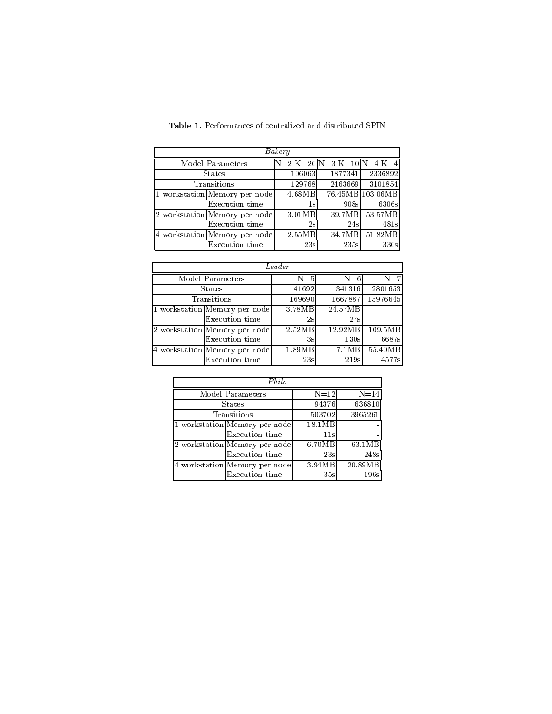| Bakery                        |               |                                 |                  |
|-------------------------------|---------------|---------------------------------|------------------|
| Model Parameters              |               | $N=2 K=20$ $N=3 K=10$ $N=4 K=4$ |                  |
| <b>States</b>                 | 106063        | 1877341                         | 2336892          |
| Transitions                   | 129768        | 24636691                        | 3101854          |
| 1 workstation Memory per node | 4.68MB        |                                 | 76.45MB 103.06MB |
| <b>Execution</b> time         | $1\mathrm{s}$ | 908s                            | 6306s            |
| 2 workstation Memory per node | 3.01MB        |                                 | 39.7MB 53.57MB   |
| <b>Execution</b> time         | 2s            | 24s                             | 481s             |
| 4 workstation Memory per node | 2.55MB        | 34.7MB                          | 51.82MB          |
| <b>Execution</b> time         | 23s           | 235s                            | 330s             |

Table 1. Performances of centralized and distributed SPIN

| Leader |                               |        |         |          |
|--------|-------------------------------|--------|---------|----------|
|        | Model Parameters              | $N=5$  | $N=6$   | $N=7$    |
|        | <b>States</b>                 | 41692  | 341316  | 2801653  |
|        | Transitions                   | 169690 | 1667887 | 15976645 |
|        | 1 workstation Memory per node | 3.78MB | 24.57MB |          |
|        | <b>Execution</b> time         | 2s     | 27s     |          |
|        | 2 workstation Memory per node | 2.52MB | 12.92MB | 109.5MB  |
|        | <b>Execution</b> time         | 3s     | 130s    | 6687s    |
|        | 4 workstation Memory per node | 1.89MB | 7.1MB   | 55.40MB  |
|        | <b>Execution</b> time         | 23s    | 219s    | 4577s    |

| Philo                         |        |            |  |
|-------------------------------|--------|------------|--|
| Model Parameters              | $N=12$ | $N=14$     |  |
| <b>States</b>                 | 94376  | 636810     |  |
| Transitions                   | 503702 | 3965261    |  |
| 1 workstation Memory per node | 18.1MB |            |  |
| Execution time                | 11s    |            |  |
| 2 workstation Memory per node | 6.70MB | 63.1MB     |  |
| Execution time                | 23s    | 248s       |  |
| 4 workstation Memory per node | 3.94MB | 20.89MB    |  |
| Execution time                | 35s    | $196\rm s$ |  |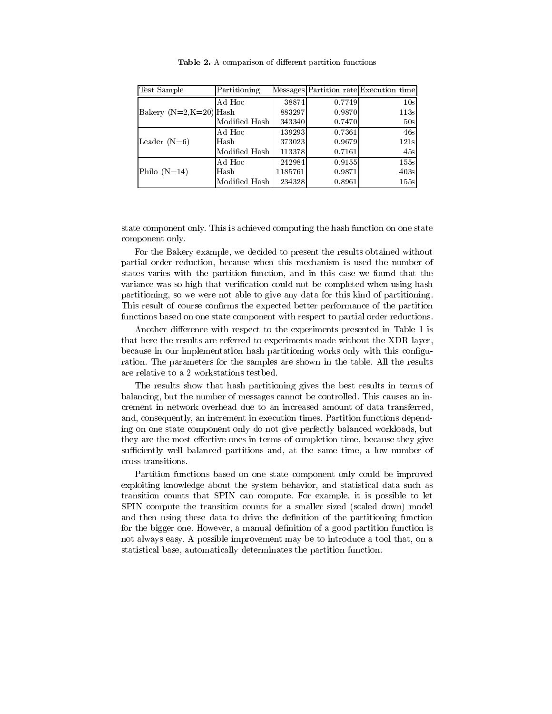| Test Sample               | Partitioning   |         |        | Messages Partition rate Execution time |
|---------------------------|----------------|---------|--------|----------------------------------------|
| Bakery $(N=2, K=20)$ Hash | Ad Hoc         | 38874   | 0.7749 | 10 <sub>s</sub>                        |
|                           |                | 883297  | 0.9870 | 113s                                   |
|                           | Modified Hashl | 343340  | 0.7470 | 50s                                    |
|                           | Ad Hoc         | 139293  | 0.7361 | 46s                                    |
| Leader $(N=6)$            | Hash           | 373023  | 0.9679 | 121s                                   |
|                           | Modified Hashl | 113378  | 0.7161 | 45s                                    |
| Philo $(N=14)$            | Ad Hoc         | 242984  | 0.9155 | 155s                                   |
|                           | Hash           | 1185761 | 0.9871 | 403s                                   |
|                           | Modified Hashl | 234328  | 0.8961 | 155s                                   |

Table 2. A comparison of different partition functions

state component only. This is achieved computing the hash function on one state component only.

For the Bakery example, we decided to present the results obtained without partial order reduction, because when this mechanism is used the number of states varies with the partition function, and in this case we found that the variance was so high that verification could not be completed when using hash partitioning, so we were not able to give any data for this kind of partitioning. This result of course confirms the expected better performance of the partition functions based on one state component with respect to partial order reductions.

Another difference with respect to the experiments presented in Table 1 is that here the results are referred to experiments made without the XDR layer, because in our implementation hash partitioning works only with this configuration. The parameters for the samples are shown in the table. All the results are relative to a 2 workstations testbed.

The results show that hash partitioning gives the best results in terms of balancing, but the number of messages cannot be controlled. This causes an increment in network overhead due to an increased amount of data transferred, and, consequently, an increment in execution times. Partition functions depending on one state component only do not give perfectly balanced workloads, but they are the most effective ones in terms of completion time, because they give sufficiently well balanced partitions and, at the same time, a low number of cross-transitions.

Partition functions based on one state component only could be improved exploiting knowledge about the system behavior, and statistical data such as transition counts that SPIN can compute. For example, it is possible to let SPIN compute the transition counts for a smaller sized (scaled down) model and then using these data to drive the definition of the partitioning function for the bigger one. However, a manual definition of a good partition function is not always easy. A possible improvement may be to introduce a tool that, on a statistical base, automatically determinates the partition function.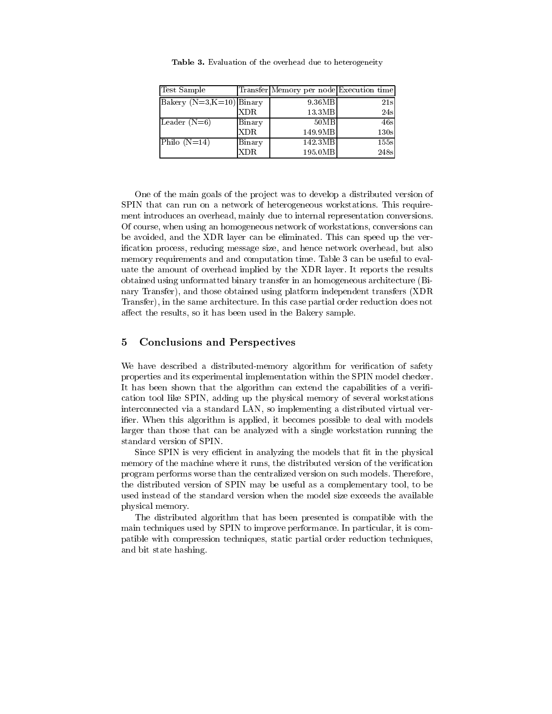| Test Sample                           |               | Transfer Memory per node Execution time |      |
|---------------------------------------|---------------|-----------------------------------------|------|
| Bakery $(N=3,\overline{K=10})$ Binary |               | 9.36MB                                  | 21s  |
|                                       | <b>XDR</b>    | 13.3MB                                  | 24s  |
| Leader $(N=6)$                        | <b>Binary</b> | 50MB                                    | 46s  |
|                                       | <b>XDR</b>    | 149.9MB                                 | 130s |
| Philo $(N=14)$                        | <b>Binary</b> | 142.3MB                                 | 155s |
|                                       | <b>XDR</b>    | 195.0MB                                 | 248s |

Table 3. Evaluation of the overhead due to heterogeneity

One of the main goals of the project was to develop a distributed version of SPIN that can run on a network of heterogeneous workstations. This requirement introduces an overhead, mainly due to internal representation conversions. Of course, when using an homogeneous network of workstations, conversions can be avoided, and the XDR layer can be eliminated. This can speed up the verication process, reducing message size, and hence network overhead, but also memory requirements and and computation time. Table 3 can be useful to evaluate the amount of overhead implied by the XDR layer. It reports the results obtained using unformatted binary transfer in an homogeneous architecture (Binary Transfer), and those obtained using platform independent transfers (XDR Transfer), in the same architecture. In this case partial order reduction does not affect the results, so it has been used in the Bakery sample.

## 5 Conclusions and Perspectives

We have described a distributed-memory algorithm for verification of safety properties and its experimental implementation within the SPIN model checker. It has been shown that the algorithm can extend the capabilities of a verification tool like SPIN, adding up the physical memory of several workstations interconnected via a standard LAN, so implementing a distributed virtual verier. When this algorithm is applied, it becomes possible to deal with models larger than those that can be analyzed with a single workstation running the standard version of SPIN.

Since SPIN is very efficient in analyzing the models that fit in the physical memory of the machine where it runs, the distributed version of the verication program performs worse than the centralized version on such models. Therefore, the distributed version of SPIN may be useful as a complementary tool, to be used instead of the standard version when the model size exceeds the available physical memory.

The distributed algorithm that has been presented is compatible with the main techniques used by SPIN to improve performance. In particular, it is compatible with compression techniques, static partial order reduction techniques, and bit state hashing.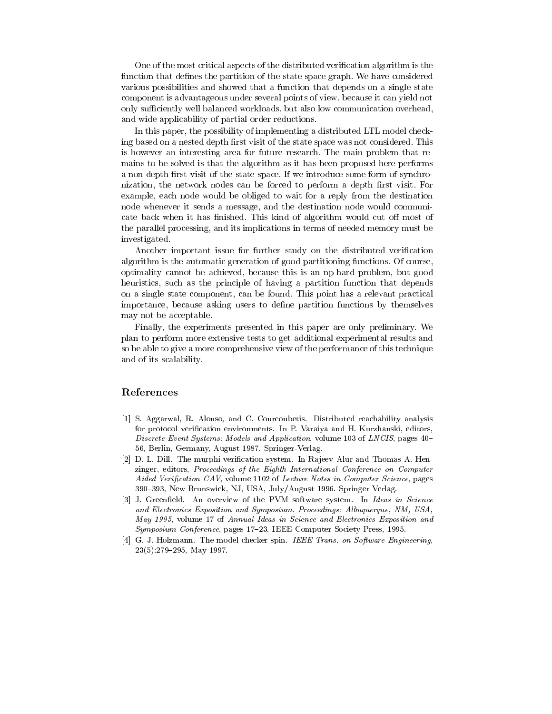One of the most critical aspects of the distributed verication algorithm is the function that defines the partition of the state space graph. We have considered various possibilities and showed that a function that depends on a single state component is advantageous under several points of view, because it can yield not only sufficiently well balanced workloads, but also low communication overhead, and wide applicability of partial order reductions.

In this paper, the possibility of implementing a distributed LTL model checking based on a nested depth first visit of the state space was not considered. This is however an interesting area for future research. The main problem that remains to be solved is that the algorithm as it has been proposed here performs a non depth first visit of the state space. If we introduce some form of synchronization, the network nodes can be forced to perform a depth first visit. For example, each node would be obliged to wait for a reply from the destination node whenever it sends a message, and the destination node would communicate back when it has finished. This kind of algorithm would cut off most of the parallel processing, and its implications in terms of needed memory must be investigated.

Another important issue for further study on the distributed verification algorithm is the automatic generation of good partitioning functions. Of course, optimality cannot be achieved, because this is an np-hard problem, but good heuristics, such as the principle of having a partition function that depends on a single state component, can be found. This point has a relevant practical importance, because asking users to define partition functions by themselves may not be acceptable.

Finally, the experiments presented in this paper are only preliminary. We plan to perform more extensive tests to get additional experimental results and so be able to give a more comprehensive view of the performance of this technique and of its scalability.

# References

- [1] S. Aggarwal, R. Alonso, and C. Courcoubetis. Distributed reachability analysis for protocol verication environments. In P. Varaiya and H. Kurzhanski, editors, Discrete Event Systems: Models and Application, volume 103 of LNCIS, pages 40– 56, Berlin, Germany, August 1987. Springer-Verlag.
- [2] D. L. Dill. The murphi verication system. In Ra jeev Alur and Thomas A. Henzinger, editors, Proceedings of the Eighth International Conference on Computer Aided Verification CAV, volume 1102 of Lecture Notes in Computer Science, pages 390-393, New Brunswick, NJ, USA, July/August 1996. Springer Verlag.
- [3] J. Greenfield. An overview of the PVM software system. In Ideas in Science and Electronics Exposition and Symposium. Proceedings: Albuquerque, NM, USA, May 1995, volume 17 of Annual Ideas in Science and Electronics Exposition and Symposium Conference, pages 17-23. IEEE Computer Society Press, 1995.
- [4] G. J. Holzmann. The model checker spin. IEEE Trans. on Software Engineering,  $23(5):279{-}295$ , May 1997.